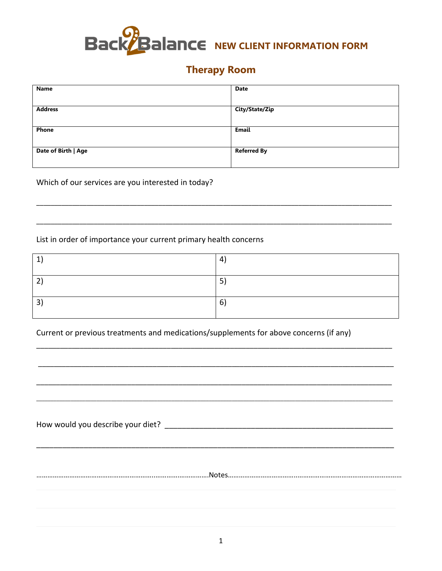

## **Therapy Room**

| <b>Name</b>         | <b>Date</b>        |
|---------------------|--------------------|
|                     |                    |
| <b>Address</b>      | City/State/Zip     |
|                     |                    |
| Phone               | Email              |
|                     |                    |
| Date of Birth   Age | <b>Referred By</b> |
|                     |                    |

Which of our services are you interested in today?

List in order of importance your current primary health concerns

| и | 4      |
|---|--------|
| ◠ | Е<br>ب |
| ີ | 6      |

Current or previous treatments and medications/supplements for above concerns (if any)

| How would you describe your diet? |  |  |  |
|-----------------------------------|--|--|--|
|                                   |  |  |  |
|                                   |  |  |  |
|                                   |  |  |  |